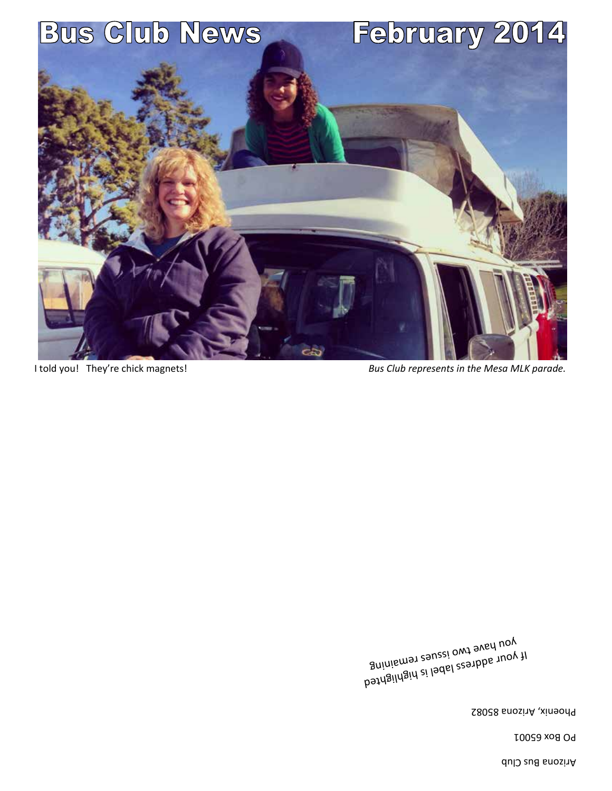Arizona Bus Club

PO Box 65001

Phoenix, Arizona 85082

If your address label is highlighted you have two issues remaining

I told you! They're chick magnets! *Bus Club represents in the Mesa MLK parade.* 

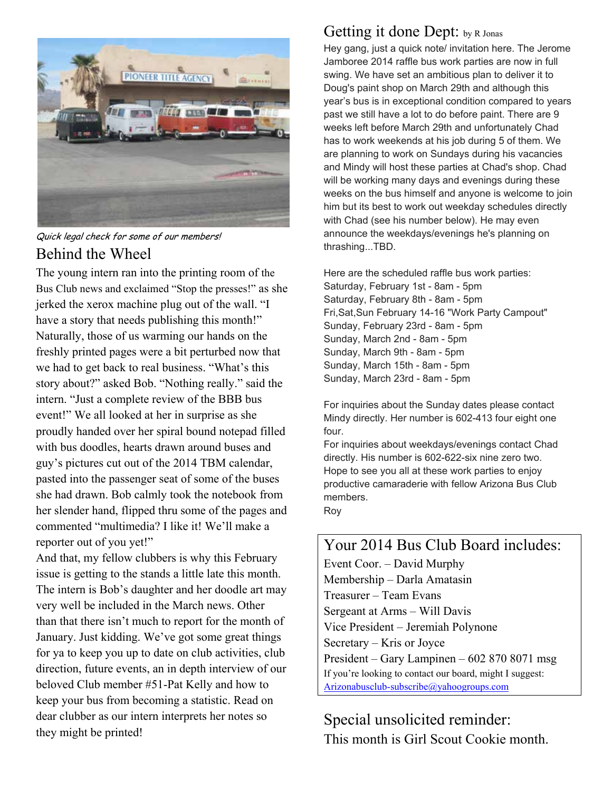

Quick legal check for some of our members! Behind the Wheel

The young intern ran into the printing room of the Bus Club news and exclaimed "Stop the presses!" as she jerked the xerox machine plug out of the wall. "I have a story that needs publishing this month!" Naturally, those of us warming our hands on the freshly printed pages were a bit perturbed now that we had to get back to real business. "What's this story about?" asked Bob. "Nothing really." said the intern. "Just a complete review of the BBB bus event!" We all looked at her in surprise as she proudly handed over her spiral bound notepad filled with bus doodles, hearts drawn around buses and guy's pictures cut out of the 2014 TBM calendar, pasted into the passenger seat of some of the buses she had drawn. Bob calmly took the notebook from her slender hand, flipped thru some of the pages and commented "multimedia? I like it! We'll make a reporter out of you yet!"

And that, my fellow clubbers is why this February issue is getting to the stands a little late this month. The intern is Bob's daughter and her doodle art may very well be included in the March news. Other than that there isn't much to report for the month of January. Just kidding. We've got some great things for ya to keep you up to date on club activities, club direction, future events, an in depth interview of our beloved Club member #51-Pat Kelly and how to keep your bus from becoming a statistic. Read on dear clubber as our intern interprets her notes so they might be printed!

### Getting it done Dept: by R Jonas

Hey gang, just a quick note/ invitation here. The Jerome Jamboree 2014 raffle bus work parties are now in full swing. We have set an ambitious plan to deliver it to Doug's paint shop on March 29th and although this year's bus is in exceptional condition compared to years past we still have a lot to do before paint. There are 9 weeks left before March 29th and unfortunately Chad has to work weekends at his job during 5 of them. We are planning to work on Sundays during his vacancies and Mindy will host these parties at Chad's shop. Chad will be working many days and evenings during these weeks on the bus himself and anyone is welcome to join him but its best to work out weekday schedules directly with Chad (see his number below). He may even announce the weekdays/evenings he's planning on thrashing...TBD.

Here are the scheduled raffle bus work parties: Saturday, February 1st - 8am - 5pm Saturday, February 8th - 8am - 5pm Fri,Sat,Sun February 14-16 "Work Party Campout" Sunday, February 23rd - 8am - 5pm Sunday, March 2nd - 8am - 5pm Sunday, March 9th - 8am - 5pm Sunday, March 15th - 8am - 5pm Sunday, March 23rd - 8am - 5pm

For inquiries about the Sunday dates please contact Mindy directly. Her number is 602-413 four eight one four.

For inquiries about weekdays/evenings contact Chad directly. His number is 602-622-six nine zero two. Hope to see you all at these work parties to enjoy productive camaraderie with fellow Arizona Bus Club members. Roy

Your 2014 Bus Club Board includes: Event Coor. – David Murphy Membership – Darla Amatasin Treasurer – Team Evans Sergeant at Arms – Will Davis Vice President – Jeremiah Polynone Secretary – Kris or Joyce President – Gary Lampinen – 602 870 8071 msg If you're looking to contact our board, might I suggest: Arizonabusclub-subscribe@yahoogroups.com

Special unsolicited reminder: This month is Girl Scout Cookie month.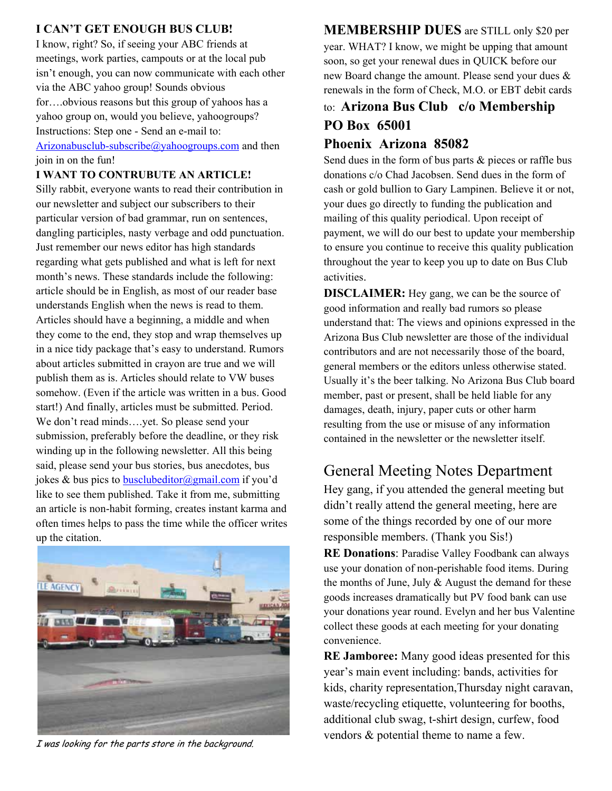### **I CAN'T GET ENOUGH BUS CLUB!**

I know, right? So, if seeing your ABC friends at meetings, work parties, campouts or at the local pub isn't enough, you can now communicate with each other via the ABC yahoo group! Sounds obvious for….obvious reasons but this group of yahoos has a yahoo group on, would you believe, yahoogroups? Instructions: Step one - Send an e-mail to:

#### Arizonabusclub-subscribe@yahoogroups.com and then join in on the fun!

#### **I WANT TO CONTRUBUTE AN ARTICLE!**

Silly rabbit, everyone wants to read their contribution in our newsletter and subject our subscribers to their particular version of bad grammar, run on sentences, dangling participles, nasty verbage and odd punctuation. Just remember our news editor has high standards regarding what gets published and what is left for next month's news. These standards include the following: article should be in English, as most of our reader base understands English when the news is read to them. Articles should have a beginning, a middle and when they come to the end, they stop and wrap themselves up in a nice tidy package that's easy to understand. Rumors about articles submitted in crayon are true and we will publish them as is. Articles should relate to VW buses somehow. (Even if the article was written in a bus. Good start!) And finally, articles must be submitted. Period. We don't read minds….yet. So please send your submission, preferably before the deadline, or they risk winding up in the following newsletter. All this being said, please send your bus stories, bus anecdotes, bus jokes & bus pics to busclubeditor@gmail.com if you'd like to see them published. Take it from me, submitting an article is non-habit forming, creates instant karma and often times helps to pass the time while the officer writes up the citation.



I was looking for the parts store in the background.

**MEMBERSHIP DUES** are STILL only \$20 per year. WHAT? I know, we might be upping that amount soon, so get your renewal dues in QUICK before our new Board change the amount. Please send your dues & renewals in the form of Check, M.O. or EBT debit cards

# to: **Arizona Bus Club c/o Membership PO Box 65001**

### **Phoenix Arizona 85082**

Send dues in the form of bus parts & pieces or raffle bus donations c/o Chad Jacobsen. Send dues in the form of cash or gold bullion to Gary Lampinen. Believe it or not, your dues go directly to funding the publication and mailing of this quality periodical. Upon receipt of payment, we will do our best to update your membership to ensure you continue to receive this quality publication throughout the year to keep you up to date on Bus Club activities.

**DISCLAIMER:** Hey gang, we can be the source of good information and really bad rumors so please understand that: The views and opinions expressed in the Arizona Bus Club newsletter are those of the individual contributors and are not necessarily those of the board, general members or the editors unless otherwise stated. Usually it's the beer talking. No Arizona Bus Club board member, past or present, shall be held liable for any damages, death, injury, paper cuts or other harm resulting from the use or misuse of any information contained in the newsletter or the newsletter itself.

# General Meeting Notes Department

Hey gang, if you attended the general meeting but didn't really attend the general meeting, here are some of the things recorded by one of our more responsible members. (Thank you Sis!)

**RE Donations**: Paradise Valley Foodbank can always use your donation of non-perishable food items. During the months of June, July  $&$  August the demand for these goods increases dramatically but PV food bank can use your donations year round. Evelyn and her bus Valentine collect these goods at each meeting for your donating convenience.

**RE Jamboree:** Many good ideas presented for this year's main event including: bands, activities for kids, charity representation,Thursday night caravan, waste/recycling etiquette, volunteering for booths, additional club swag, t-shirt design, curfew, food vendors & potential theme to name a few.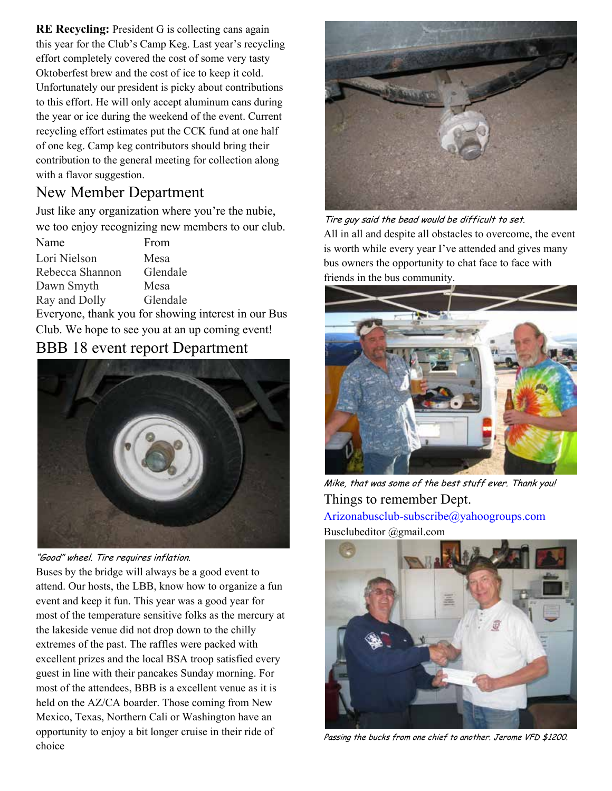**RE Recycling:** President G is collecting cans again this year for the Club's Camp Keg. Last year's recycling effort completely covered the cost of some very tasty Oktoberfest brew and the cost of ice to keep it cold. Unfortunately our president is picky about contributions to this effort. He will only accept aluminum cans during the year or ice during the weekend of the event. Current recycling effort estimates put the CCK fund at one half of one keg. Camp keg contributors should bring their contribution to the general meeting for collection along with a flavor suggestion.

### New Member Department

Just like any organization where you're the nubie, we too enjoy recognizing new members to our club.

| Name                                                | From     |
|-----------------------------------------------------|----------|
| Lori Nielson                                        | Mesa     |
| Rebecca Shannon                                     | Glendale |
| Dawn Smyth                                          | Mesa     |
| Ray and Dolly                                       | Glendale |
| Everyone, thank you for showing interest in our Bus |          |
| Club. We hope to see you at an up coming event!     |          |

# BBB 18 event report Department



"Good" wheel. Tire requires inflation.

Buses by the bridge will always be a good event to attend. Our hosts, the LBB, know how to organize a fun event and keep it fun. This year was a good year for most of the temperature sensitive folks as the mercury at the lakeside venue did not drop down to the chilly extremes of the past. The raffles were packed with excellent prizes and the local BSA troop satisfied every guest in line with their pancakes Sunday morning. For most of the attendees, BBB is a excellent venue as it is held on the AZ/CA boarder. Those coming from New Mexico, Texas, Northern Cali or Washington have an opportunity to enjoy a bit longer cruise in their ride of choice



Tire guy said the bead would be difficult to set. All in all and despite all obstacles to overcome, the event is worth while every year I've attended and gives many bus owners the opportunity to chat face to face with friends in the bus community.



Mike, that was some of the best stuff ever. Thank you! Things to remember Dept. Arizonabusclub-subscribe@yahoogroups.com Busclubeditor @gmail.com



Passing the bucks from one chief to another. Jerome VFD \$1200.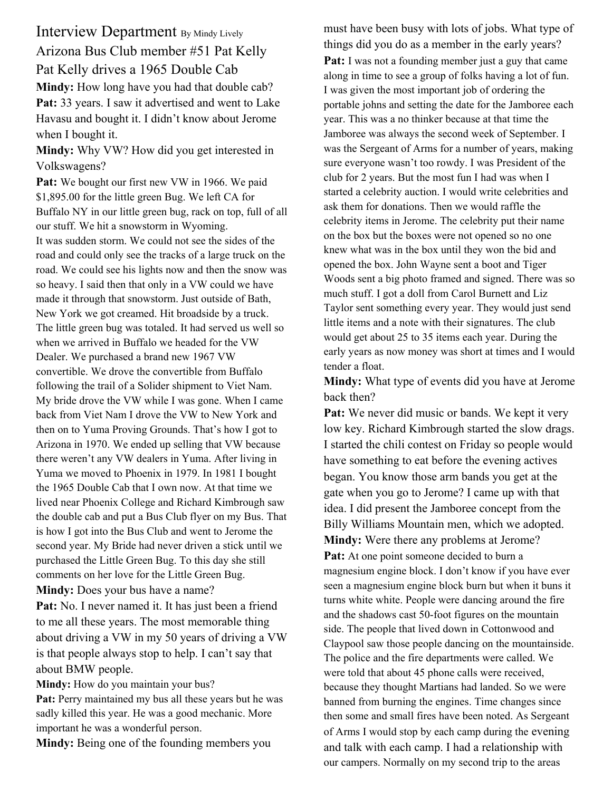Interview Department By Mindy Lively Arizona Bus Club member #51 Pat Kelly Pat Kelly drives a 1965 Double Cab **Mindy:** How long have you had that double cab? Pat: 33 years. I saw it advertised and went to Lake Havasu and bought it. I didn't know about Jerome when I bought it.

**Mindy:** Why VW? How did you get interested in Volkswagens?

Pat: We bought our first new VW in 1966. We paid \$1,895.00 for the little green Bug. We left CA for Buffalo NY in our little green bug, rack on top, full of all our stuff. We hit a snowstorm in Wyoming. It was sudden storm. We could not see the sides of the road and could only see the tracks of a large truck on the road. We could see his lights now and then the snow was so heavy. I said then that only in a VW could we have made it through that snowstorm. Just outside of Bath, New York we got creamed. Hit broadside by a truck. The little green bug was totaled. It had served us well so when we arrived in Buffalo we headed for the VW Dealer. We purchased a brand new 1967 VW convertible. We drove the convertible from Buffalo following the trail of a Solider shipment to Viet Nam. My bride drove the VW while I was gone. When I came back from Viet Nam I drove the VW to New York and then on to Yuma Proving Grounds. That's how I got to Arizona in 1970. We ended up selling that VW because there weren't any VW dealers in Yuma. After living in Yuma we moved to Phoenix in 1979. In 1981 I bought the 1965 Double Cab that I own now. At that time we lived near Phoenix College and Richard Kimbrough saw the double cab and put a Bus Club flyer on my Bus. That is how I got into the Bus Club and went to Jerome the second year. My Bride had never driven a stick until we purchased the Little Green Bug. To this day she still comments on her love for the Little Green Bug. **Mindy:** Does your bus have a name?

**Pat:** No. I never named it. It has just been a friend to me all these years. The most memorable thing about driving a VW in my 50 years of driving a VW is that people always stop to help. I can't say that about BMW people.

**Mindy:** How do you maintain your bus? **Pat:** Perry maintained my bus all these years but he was sadly killed this year. He was a good mechanic. More important he was a wonderful person.

**Mindy:** Being one of the founding members you

must have been busy with lots of jobs. What type of things did you do as a member in the early years? **Pat:** I was not a founding member just a guy that came along in time to see a group of folks having a lot of fun. I was given the most important job of ordering the portable johns and setting the date for the Jamboree each year. This was a no thinker because at that time the Jamboree was always the second week of September. I was the Sergeant of Arms for a number of years, making sure everyone wasn't too rowdy. I was President of the club for 2 years. But the most fun I had was when I started a celebrity auction. I would write celebrities and ask them for donations. Then we would raffle the celebrity items in Jerome. The celebrity put their name on the box but the boxes were not opened so no one knew what was in the box until they won the bid and opened the box. John Wayne sent a boot and Tiger Woods sent a big photo framed and signed. There was so much stuff. I got a doll from Carol Burnett and Liz Taylor sent something every year. They would just send little items and a note with their signatures. The club would get about 25 to 35 items each year. During the early years as now money was short at times and I would tender a float.

**Mindy:** What type of events did you have at Jerome back then?

Pat: We never did music or bands. We kept it very low key. Richard Kimbrough started the slow drags. I started the chili contest on Friday so people would have something to eat before the evening actives began. You know those arm bands you get at the gate when you go to Jerome? I came up with that idea. I did present the Jamboree concept from the Billy Williams Mountain men, which we adopted. **Mindy:** Were there any problems at Jerome?

Pat: At one point someone decided to burn a magnesium engine block. I don't know if you have ever seen a magnesium engine block burn but when it buns it turns white white. People were dancing around the fire and the shadows cast 50-foot figures on the mountain side. The people that lived down in Cottonwood and Claypool saw those people dancing on the mountainside. The police and the fire departments were called. We were told that about 45 phone calls were received, because they thought Martians had landed. So we were banned from burning the engines. Time changes since then some and small fires have been noted. As Sergeant of Arms I would stop by each camp during the evening and talk with each camp. I had a relationship with our campers. Normally on my second trip to the areas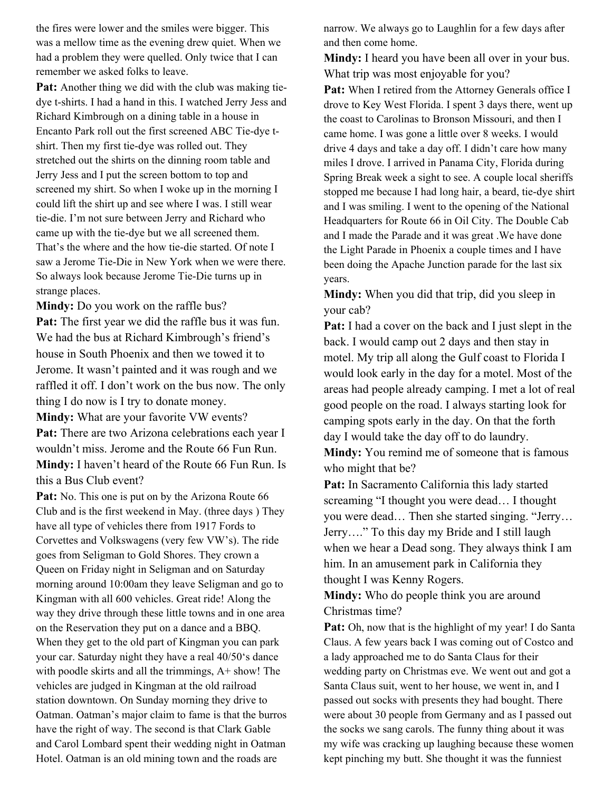the fires were lower and the smiles were bigger. This was a mellow time as the evening drew quiet. When we had a problem they were quelled. Only twice that I can remember we asked folks to leave.

**Pat:** Another thing we did with the club was making tiedye t-shirts. I had a hand in this. I watched Jerry Jess and Richard Kimbrough on a dining table in a house in Encanto Park roll out the first screened ABC Tie-dye tshirt. Then my first tie-dye was rolled out. They stretched out the shirts on the dinning room table and Jerry Jess and I put the screen bottom to top and screened my shirt. So when I woke up in the morning I could lift the shirt up and see where I was. I still wear tie-die. I'm not sure between Jerry and Richard who came up with the tie-dye but we all screened them. That's the where and the how tie-die started. Of note I saw a Jerome Tie-Die in New York when we were there. So always look because Jerome Tie-Die turns up in strange places.

**Mindy:** Do you work on the raffle bus? **Pat:** The first year we did the raffle bus it was fun. We had the bus at Richard Kimbrough's friend's house in South Phoenix and then we towed it to Jerome. It wasn't painted and it was rough and we raffled it off. I don't work on the bus now. The only thing I do now is I try to donate money.

**Mindy:** What are your favorite VW events? Pat: There are two Arizona celebrations each year I wouldn't miss. Jerome and the Route 66 Fun Run. **Mindy:** I haven't heard of the Route 66 Fun Run. Is this a Bus Club event?

Pat: No. This one is put on by the Arizona Route 66 Club and is the first weekend in May. (three days ) They have all type of vehicles there from 1917 Fords to Corvettes and Volkswagens (very few VW's). The ride goes from Seligman to Gold Shores. They crown a Queen on Friday night in Seligman and on Saturday morning around 10:00am they leave Seligman and go to Kingman with all 600 vehicles. Great ride! Along the way they drive through these little towns and in one area on the Reservation they put on a dance and a BBQ. When they get to the old part of Kingman you can park your car. Saturday night they have a real 40/50's dance with poodle skirts and all the trimmings, A+ show! The vehicles are judged in Kingman at the old railroad station downtown. On Sunday morning they drive to Oatman. Oatman's major claim to fame is that the burros have the right of way. The second is that Clark Gable and Carol Lombard spent their wedding night in Oatman Hotel. Oatman is an old mining town and the roads are

narrow. We always go to Laughlin for a few days after and then come home.

**Mindy:** I heard you have been all over in your bus. What trip was most enjoyable for you?

Pat: When I retired from the Attorney Generals office I drove to Key West Florida. I spent 3 days there, went up the coast to Carolinas to Bronson Missouri, and then I came home. I was gone a little over 8 weeks. I would drive 4 days and take a day off. I didn't care how many miles I drove. I arrived in Panama City, Florida during Spring Break week a sight to see. A couple local sheriffs stopped me because I had long hair, a beard, tie-dye shirt and I was smiling. I went to the opening of the National Headquarters for Route 66 in Oil City. The Double Cab and I made the Parade and it was great .We have done the Light Parade in Phoenix a couple times and I have been doing the Apache Junction parade for the last six years.

**Mindy:** When you did that trip, did you sleep in your cab?

**Pat:** I had a cover on the back and I just slept in the back. I would camp out 2 days and then stay in motel. My trip all along the Gulf coast to Florida I would look early in the day for a motel. Most of the areas had people already camping. I met a lot of real good people on the road. I always starting look for camping spots early in the day. On that the forth day I would take the day off to do laundry.

**Mindy:** You remind me of someone that is famous who might that be?

**Pat:** In Sacramento California this lady started screaming "I thought you were dead… I thought you were dead… Then she started singing. "Jerry… Jerry…." To this day my Bride and I still laugh when we hear a Dead song. They always think I am him. In an amusement park in California they thought I was Kenny Rogers.

**Mindy:** Who do people think you are around Christmas time?

Pat: Oh, now that is the highlight of my year! I do Santa Claus. A few years back I was coming out of Costco and a lady approached me to do Santa Claus for their wedding party on Christmas eve. We went out and got a Santa Claus suit, went to her house, we went in, and I passed out socks with presents they had bought. There were about 30 people from Germany and as I passed out the socks we sang carols. The funny thing about it was my wife was cracking up laughing because these women kept pinching my butt. She thought it was the funniest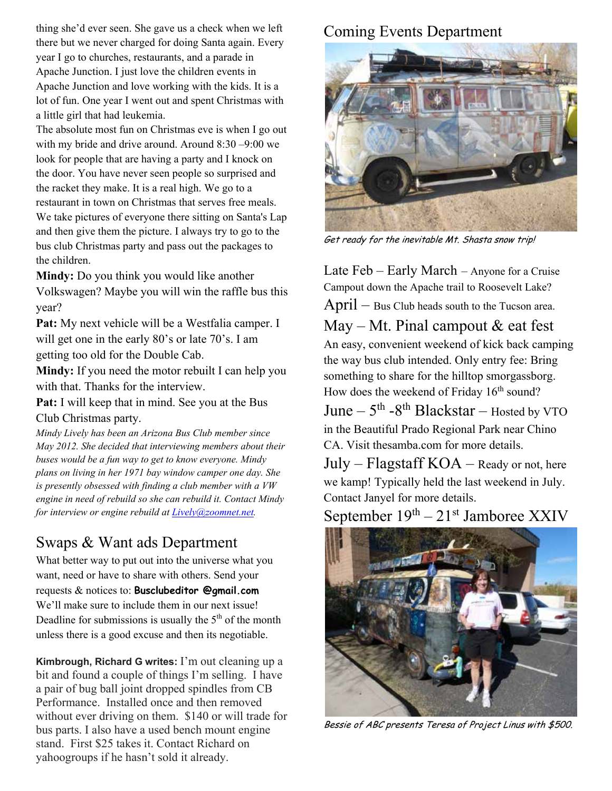thing she'd ever seen. She gave us a check when we left there but we never charged for doing Santa again. Every year I go to churches, restaurants, and a parade in Apache Junction. I just love the children events in Apache Junction and love working with the kids. It is a lot of fun. One year I went out and spent Christmas with a little girl that had leukemia.

The absolute most fun on Christmas eve is when I go out with my bride and drive around. Around 8:30 –9:00 we look for people that are having a party and I knock on the door. You have never seen people so surprised and the racket they make. It is a real high. We go to a restaurant in town on Christmas that serves free meals. We take pictures of everyone there sitting on Santa's Lap and then give them the picture. I always try to go to the bus club Christmas party and pass out the packages to the children.

**Mindy:** Do you think you would like another Volkswagen? Maybe you will win the raffle bus this year?

Pat: My next vehicle will be a Westfalia camper. I will get one in the early 80's or late 70's. I am getting too old for the Double Cab.

**Mindy:** If you need the motor rebuilt I can help you with that. Thanks for the interview.

**Pat:** I will keep that in mind. See you at the Bus Club Christmas party.

*Mindy Lively has been an Arizona Bus Club member since May 2012. She decided that interviewing members about their buses would be a fun way to get to know everyone. Mindy plans on living in her 1971 bay window camper one day. She is presently obsessed with finding a club member with a VW engine in need of rebuild so she can rebuild it. Contact Mindy for interview or engine rebuild at Lively@zoomnet.net.* 

# Swaps & Want ads Department

What better way to put out into the universe what you want, need or have to share with others. Send your requests & notices to: **Busclubeditor @gmail.com** We'll make sure to include them in our next issue! Deadline for submissions is usually the  $5<sup>th</sup>$  of the month unless there is a good excuse and then its negotiable.

**Kimbrough, Richard G writes:** I'm out cleaning up a bit and found a couple of things I'm selling. I have a pair of bug ball joint dropped spindles from CB Performance. Installed once and then removed without ever driving on them. \$140 or will trade for bus parts. I also have a used bench mount engine stand. First \$25 takes it. Contact Richard on yahoogroups if he hasn't sold it already.

# Coming Events Department



Get ready for the inevitable Mt. Shasta snow trip!

Late Feb – Early March – Anyone for a Cruise Campout down the Apache trail to Roosevelt Lake?

April – Bus Club heads south to the Tucson area.

May – Mt. Pinal campout  $&$  eat fest An easy, convenient weekend of kick back camping the way bus club intended. Only entry fee: Bring something to share for the hilltop smorgassborg. How does the weekend of Friday 16<sup>th</sup> sound?

June  $-5$ <sup>th</sup>  $-8$ <sup>th</sup> Blackstar  $-$  Hosted by VTO in the Beautiful Prado Regional Park near Chino CA. Visit thesamba.com for more details.

 $July - Flagstaff KOA - ready or not, here$ we kamp! Typically held the last weekend in July. Contact Janyel for more details.

September  $19<sup>th</sup> - 21<sup>st</sup>$  Jamboree XXIV



Bessie of ABC presents Teresa of Project Linus with \$500.